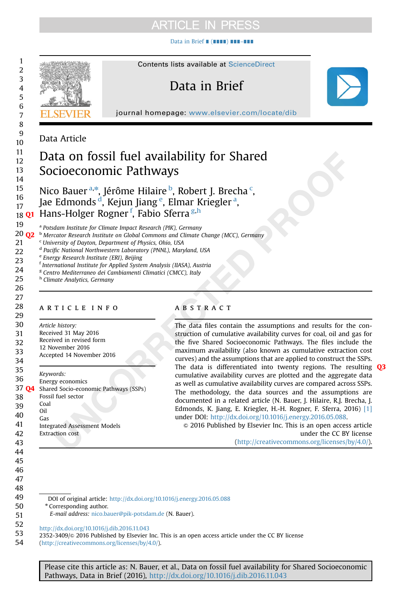# **ARTICLE IN PRESS**

[Data in Brief](http://dx.doi.org/10.1016/j.dib.2016.11.043) ∎ (∎∎∎∎) ∎∎∎–∎∎∎



54 (http://creativecommons.org/licenses/by/4.0/).

> Please cite this article as: N. Bauer, et al., Data on fossil fuel availability for Shared Socioeconomic Pathways, Data in Brief (2016), [http://dx.doi.org/10.1016/j.dib.2016.11.043i](http://dx.doi.org/10.1016/j.dib.2016.11.043)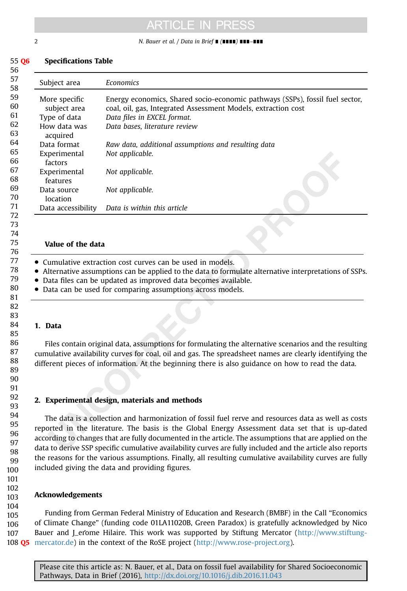# **ARTICLE IN PRESS**

2 N. Bauer et al. / Data in Brief ∎ (∎∎∎∎) ∎∎∎–∎∎∎

#### Specifications Table 55 Q6

Subject area **Economics** More specific subject area Energy economics, Shared socio-economic pathways (SSPs), fossil fuel sector, coal, oil, gas, Integrated Assessment Models, extraction cost Type of data Data files in EXCEL format. How data was acquired Data bases, literature review Data format Raw data, additional assumptions and resulting data Experimental factors Not applicable. Experimental features Not applicable. Data source location Not applicable. Data accessibility Data is within this article 57 58 59 60 61 62 63 64 65 66 67 68 69 70 71 72

### Value of the data

- Cumulative extraction cost curves can be used in models.
- Alternative assumptions can be applied to the data to formulate alternative interpretations of SSPs.
- Data files can be updated as improved data becomes available.
- Data can be used for comparing assumptions across models.

### 1. Data

Files contain original data, assumptions for formulating the alternative scenarios and the resulting cumulative availability curves for coal, oil and gas. The spreadsheet names are clearly identifying the different pieces of information. At the beginning there is also guidance on how to read the data.

## 2. Experimental design, materials and methods

The data is a collection and harmonization of fossil fuel rerve and resources data as well as costs reported in the literature. The basis is the Global Energy Assessment data set that is up-dated according to changes that are fully documented in the article. The assumptions that are applied on the data to derive SSP specific cumulative availability curves are fully included and the article also reports the reasons for the various assumptions. Finally, all resulting cumulative availability curves are fully included giving the data and providing figures.

#### Acknowledgements 102 103

Funding from German Federal Ministry of Education and Research (BMBF) in the Call "Economics of Climate Change" (funding code 01LA11020B, Green Paradox) is gratefully acknowledged by Nico Bauer and J\_erome Hilaire. This work was supported by Stiftung Mercator [\(http://www.stiftung-](http://www.stiftung-mercator.de)108  $Q5$  [mercator.de\)](http://www.stiftung-mercator.de) in the context of the RoSE project ( $\frac{http://www.rose-project.org)}{http://www.rose-project.org)}$  $\frac{http://www.rose-project.org)}{http://www.rose-project.org)}$  $\frac{http://www.rose-project.org)}{http://www.rose-project.org)}$ . 104 105 106 107

Please cite this article as: N. Bauer, et al., Data on fossil fuel availability for Shared Socioeconomic Pathways, Data in Brief (2016), [http://dx.doi.org/10.1016/j.dib.2016.11.043i](http://dx.doi.org/10.1016/j.dib.2016.11.043)

56